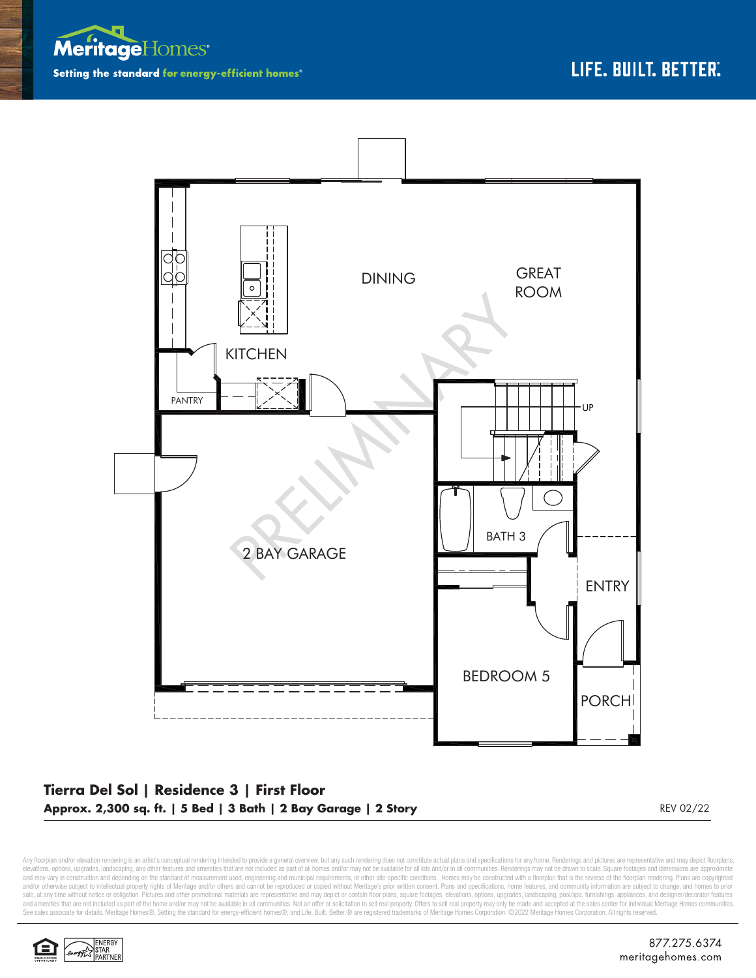



## **Tierra Del Sol | Residence 3 | First Floor Approx. 2,300 sq. ft. | 5 Bed | 3 Bath | 2 Bay Garage | 2 Story** REV 02/22 REV 02/22

Any floorplan and/or elevation rendering is an artist's conceptual rendering intended to provide a general overview, but any such rendering does not constitute actual plans and specifications for any home. Renderings and p elevations, options, upgrades, landscaping, and other features and amenities that are not included as part of all homes and/or may not be available for all lots and/or in all communities. Renderings may not be drawn to sca and may vary in construction and depending on the standard of measurement used, engineering and municipal requirements, or other site-specific conditions. Homes may be constructed with a floorplan that is the reverse of th sale, at any time without notice or obligation. Pictures and other promotional materials are representative and may depict or contain floor plans, square footages, elevations, options, upgrades, landscaping, pool/spa, furn See sales associate for details. Meritage Homes®, Setting the standard for energy-efficient homes®, and Life. Built. Better. @ are registered trademarks of Meritage Homes Corporation. ©2022 Meritage Homes Corporation. All